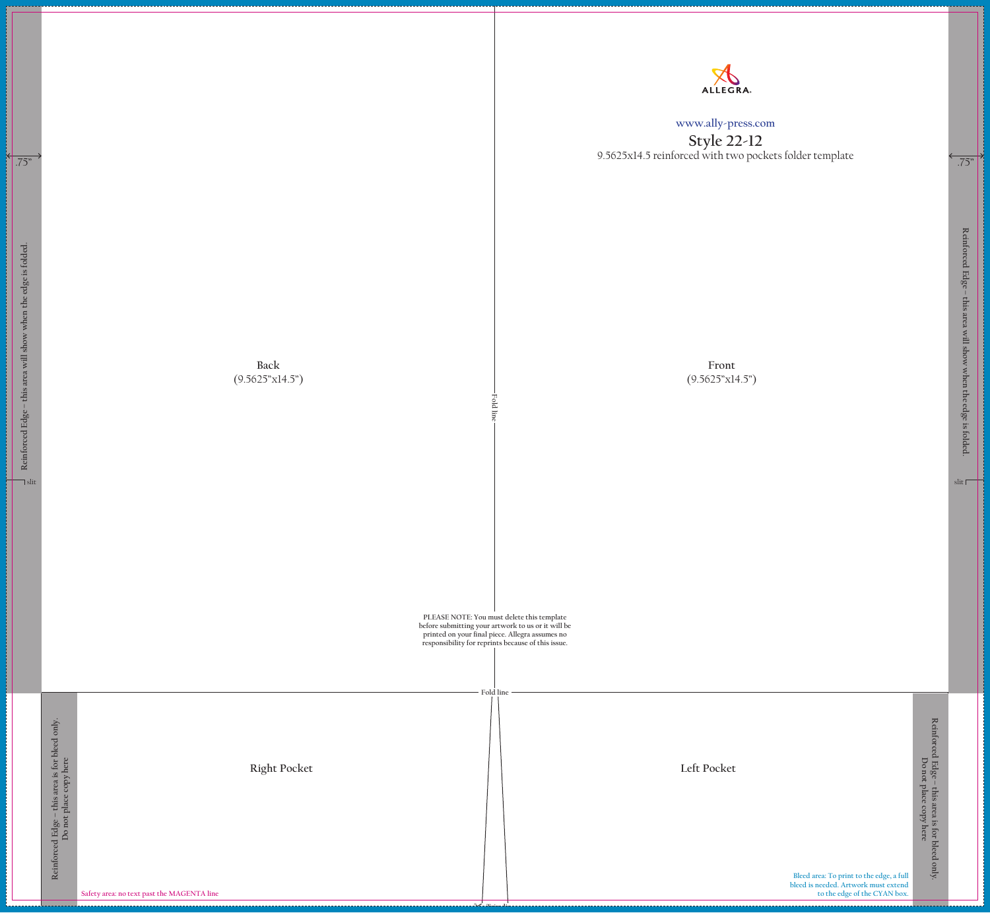**Bleed area: To print to the edge, a full bleed is needed. Artwork must extend to the edge of the CYAN box.**   ${\bf Reinfored~Edg}{\bf c}-{\bf this~area~is~for~bled~only}.$  Do not place copy here **Reinforced Edge – this area is for bleed only. Do not place copy here**

## **www.ally-press.com**

| Reinforced Edge - this area will show when the edge is folded.<br>$\lnot$ slit |                                                                           | Back<br>(9.5625"x14.5")                                           | <b>Fold line</b> | PLEASE NOTE: You must delete this template<br>before submitting your artwork to us or it will be<br>printed on your final piece. Allegra assumes no<br>responsibility for reprints because of this issue. |
|--------------------------------------------------------------------------------|---------------------------------------------------------------------------|-------------------------------------------------------------------|------------------|-----------------------------------------------------------------------------------------------------------------------------------------------------------------------------------------------------------|
|                                                                                | this area is for bleed only.<br>Do not place copy here<br>Reinforced Edge | <b>Right Pocket</b><br>Safety area: no text past the MAGENTA line | Fold line        |                                                                                                                                                                                                           |

**Style 22-12** 9.5625x14.5 reinforced with two pockets folder template

> **Front**  $(9.5625"x14.5")$

**Right Pocket Left Pocket**

**Reinforced Edge – this area will show when the edge is folded.**

Reinforced Edge – this area will show when the edge is folded.

slit **F** 

 $\overline{.75}$ "

.75"

П